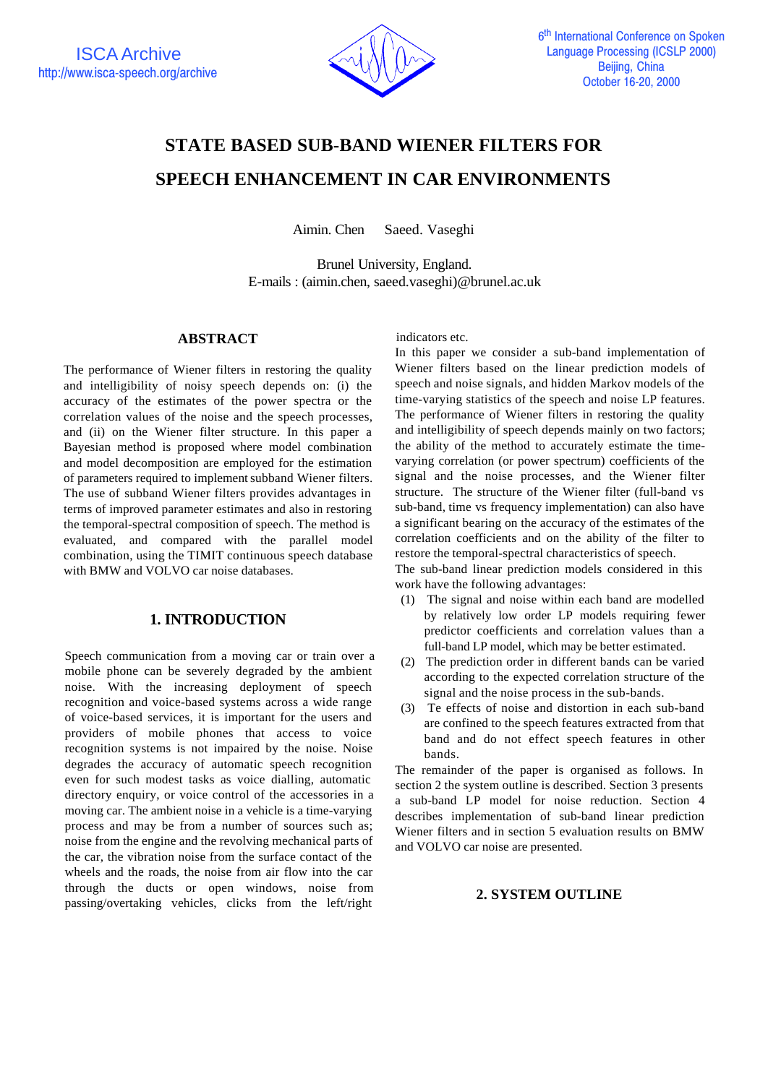

# **STATE BASED SUB-BAND WIENER FILTERS FOR SPEECH ENHANCEMENT IN CAR ENVIRONMENTS**

Aimin. Chen Saeed. Vaseghi

Brunel University, England. E-mails : (aimin.chen, saeed.vaseghi)@brunel.ac.uk

# **ABSTRACT**

The performance of Wiener filters in restoring the quality and intelligibility of noisy speech depends on: (i) the accuracy of the estimates of the power spectra or the correlation values of the noise and the speech processes, and (ii) on the Wiener filter structure. In this paper a Bayesian method is proposed where model combination and model decomposition are employed for the estimation of parameters required to implement subband Wiener filters. The use of subband Wiener filters provides advantages in terms of improved parameter estimates and also in restoring the temporal-spectral composition of speech. The method is evaluated, and compared with the parallel model combination, using the TIMIT continuous speech database with BMW and VOLVO car noise databases.

# **1. INTRODUCTION**

Speech communication from a moving car or train over a mobile phone can be severely degraded by the ambient noise. With the increasing deployment of speech recognition and voice-based systems across a wide range of voice-based services, it is important for the users and providers of mobile phones that access to voice recognition systems is not impaired by the noise. Noise degrades the accuracy of automatic speech recognition even for such modest tasks as voice dialling, automatic directory enquiry, or voice control of the accessories in a moving car. The ambient noise in a vehicle is a time-varying process and may be from a number of sources such as; noise from the engine and the revolving mechanical parts of the car, the vibration noise from the surface contact of the wheels and the roads, the noise from air flow into the car through the ducts or open windows, noise from passing/overtaking vehicles, clicks from the left/right

indicators etc.

In this paper we consider a sub-band implementation of Wiener filters based on the linear prediction models of speech and noise signals, and hidden Markov models of the time-varying statistics of the speech and noise LP features. The performance of Wiener filters in restoring the quality and intelligibility of speech depends mainly on two factors; the ability of the method to accurately estimate the timevarying correlation (or power spectrum) coefficients of the signal and the noise processes, and the Wiener filter structure. The structure of the Wiener filter (full-band vs sub-band, time vs frequency implementation) can also have a significant bearing on the accuracy of the estimates of the correlation coefficients and on the ability of the filter to restore the temporal-spectral characteristics of speech.

The sub-band linear prediction models considered in this work have the following advantages:

- (1) The signal and noise within each band are modelled by relatively low order LP models requiring fewer predictor coefficients and correlation values than a full-band LP model, which may be better estimated.
- (2) The prediction order in different bands can be varied according to the expected correlation structure of the signal and the noise process in the sub-bands.
- (3) Te effects of noise and distortion in each sub-band are confined to the speech features extracted from that band and do not effect speech features in other bands.

The remainder of the paper is organised as follows. In section 2 the system outline is described. Section 3 presents a sub-band LP model for noise reduction. Section 4 describes implementation of sub-band linear prediction Wiener filters and in section 5 evaluation results on BMW and VOLVO car noise are presented.

# **2. SYSTEM OUTLINE**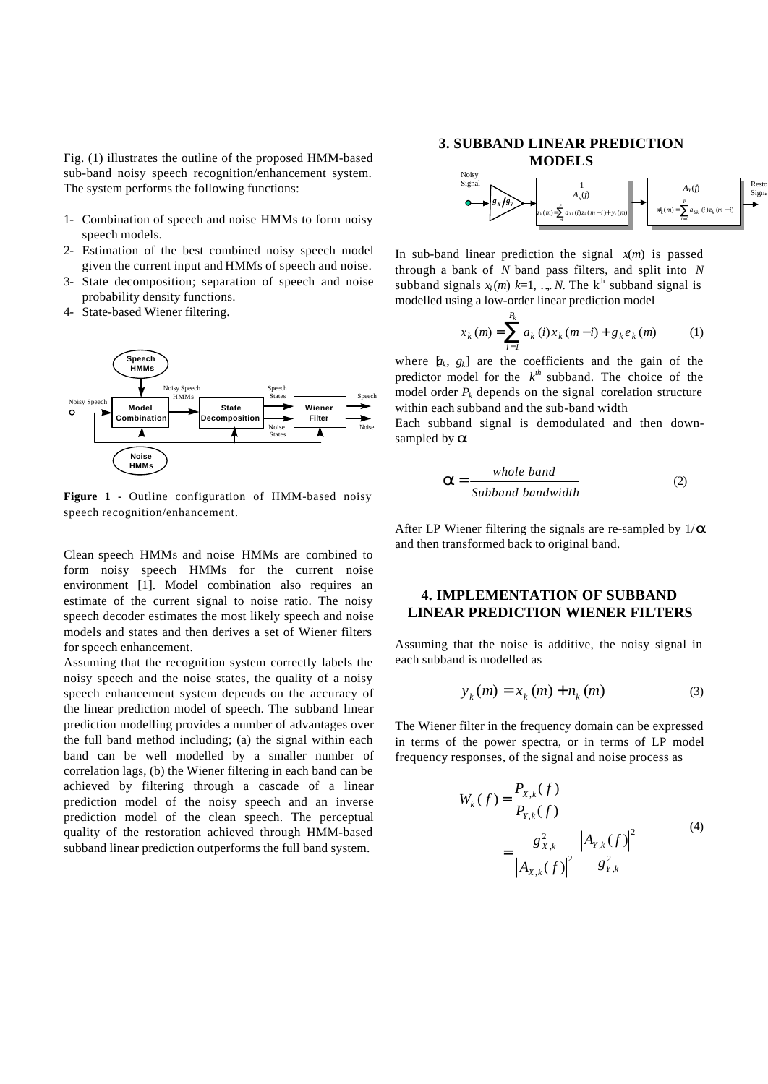Fig. (1) illustrates the outline of the proposed HMM-based sub-band noisy speech recognition/enhancement system. The system performs the following functions:

- 1- Combination of speech and noise HMMs to form noisy speech models.
- 2- Estimation of the best combined noisy speech model given the current input and HMMs of speech and noise.
- 3- State decomposition; separation of speech and noise probability density functions.
- 4- State-based Wiener filtering.



**Figure 1 -** Outline configuration of HMM-based noisy speech recognition/enhancement.

Clean speech HMMs and noise HMMs are combined to form noisy speech HMMs for the current noise environment [1]. Model combination also requires an estimate of the current signal to noise ratio. The noisy speech decoder estimates the most likely speech and noise models and states and then derives a set of Wiener filters for speech enhancement.

Assuming that the recognition system correctly labels the noisy speech and the noise states, the quality of a noisy speech enhancement system depends on the accuracy of the linear prediction model of speech. The subband linear prediction modelling provides a number of advantages over the full band method including; (a) the signal within each band can be well modelled by a smaller number of correlation lags, (b) the Wiener filtering in each band can be achieved by filtering through a cascade of a linear prediction model of the noisy speech and an inverse prediction model of the clean speech. The perceptual quality of the restoration achieved through HMM-based subband linear prediction outperforms the full band system.

### **3. SUBBAND LINEAR PREDICTION MODELS**



In sub-band linear prediction the signal  $x(m)$  is passed through a bank of *N* band pass filters, and split into *N* subband signals  $x_k(m)$   $k=1, ..., N$ . The  $k^{\text{th}}$  subband signal is modelled using a low-order linear prediction model

$$
x_k(m) = \sum_{i=1}^{P_k} a_k(i) x_k(m-i) + g_k e_k(m)
$$
 (1)

where  $[a_k, g_k]$  are the coefficients and the gain of the predictor model for the  $k^{th}$  subband. The choice of the model order  $P_k$  depends on the signal corelation structure within each subband and the sub-band width

Each subband signal is demodulated and then downsampled by *a*.

$$
a = \frac{\text{whole band}}{\text{Subband bandwidth}}
$$
 (2)

After LP Wiener filtering the signals are re-sampled by 1/*a* and then transformed back to original band.

# **4. IMPLEMENTATION OF SUBBAND LINEAR PREDICTION WIENER FILTERS**

Assuming that the noise is additive, the noisy signal in each subband is modelled as

$$
y_{k}(m) = x_{k}(m) + n_{k}(m)
$$
 (3)

The Wiener filter in the frequency domain can be expressed in terms of the power spectra, or in terms of LP model frequency responses, of the signal and noise process as

$$
W_k(f) = \frac{P_{X,k}(f)}{P_{Y,k}(f)}
$$
  
= 
$$
\frac{g_{X,k}^2}{|A_{X,k}(f)|^2} \frac{|A_{Y,k}(f)|^2}{g_{Y,k}^2}
$$
 (4)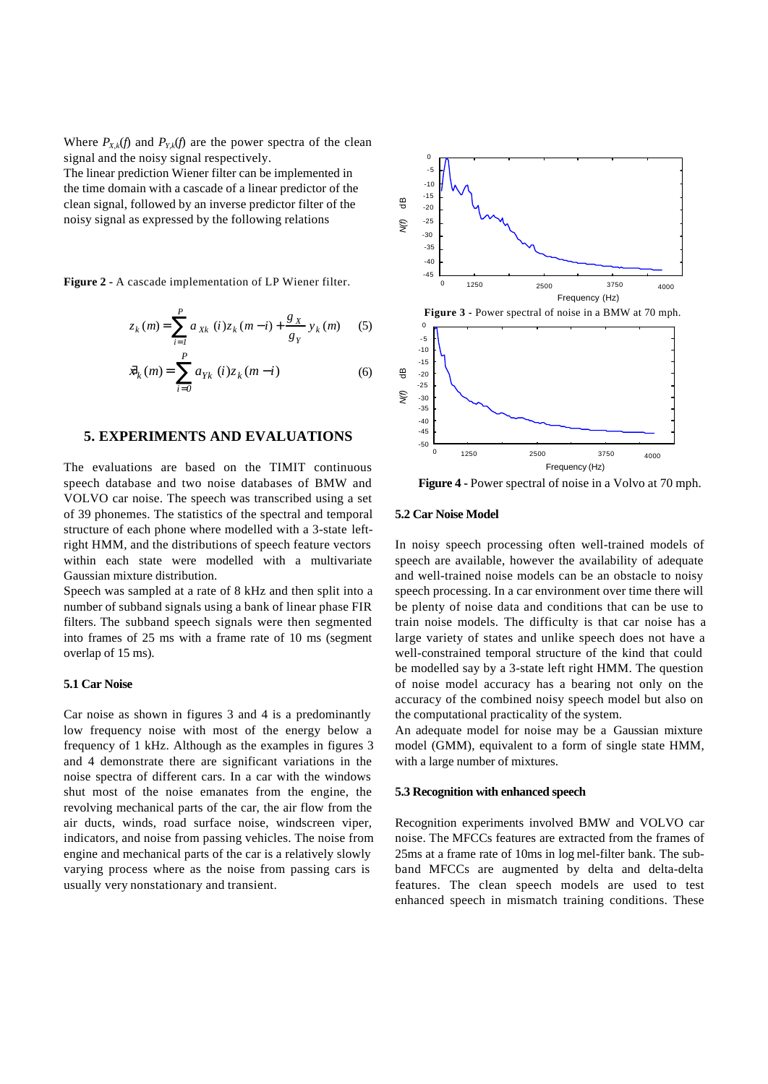Where  $P_{X,k}(f)$  and  $P_{Y,k}(f)$  are the power spectra of the clean signal and the noisy signal respectively.

The linear prediction Wiener filter can be implemented in the time domain with a cascade of a linear predictor of the clean signal, followed by an inverse predictor filter of the noisy signal as expressed by the following relations

**Figure 2 -** A cascade implementation of LP Wiener filter.

$$
z_k(m) = \sum_{i=1}^{P} a_{Xk} (i) z_k (m - i) + \frac{g_X}{g_Y} y_k (m)
$$
 (5)

$$
\bar{x}_k(m) = \sum_{i=0}^{P} a_{Yk} (i) z_k (m - i)
$$
 (6)

## **5. EXPERIMENTS AND EVALUATIONS**

The evaluations are based on the TIMIT continuous speech database and two noise databases of BMW and VOLVO car noise. The speech was transcribed using a set of 39 phonemes. The statistics of the spectral and temporal structure of each phone where modelled with a 3-state leftright HMM, and the distributions of speech feature vectors within each state were modelled with a multivariate Gaussian mixture distribution.

Speech was sampled at a rate of 8 kHz and then split into a number of subband signals using a bank of linear phase FIR filters. The subband speech signals were then segmented into frames of 25 ms with a frame rate of 10 ms (segment overlap of 15 ms).

### **5.1 Car Noise**

Car noise as shown in figures 3 and 4 is a predominantly low frequency noise with most of the energy below a frequency of 1 kHz. Although as the examples in figures 3 and 4 demonstrate there are significant variations in the noise spectra of different cars. In a car with the windows shut most of the noise emanates from the engine, the revolving mechanical parts of the car, the air flow from the air ducts, winds, road surface noise, windscreen viper, indicators, and noise from passing vehicles. The noise from engine and mechanical parts of the car is a relatively slowly varying process where as the noise from passing cars is usually very nonstationary and transient.



**Figure 4 -** Power spectral of noise in a Volvo at 70 mph.

#### **5.2 Car Noise Model**

In noisy speech processing often well-trained models of speech are available, however the availability of adequate and well-trained noise models can be an obstacle to noisy speech processing. In a car environment over time there will be plenty of noise data and conditions that can be use to train noise models. The difficulty is that car noise has a large variety of states and unlike speech does not have a well-constrained temporal structure of the kind that could be modelled say by a 3-state left right HMM. The question of noise model accuracy has a bearing not only on the accuracy of the combined noisy speech model but also on the computational practicality of the system.

An adequate model for noise may be a Gaussian mixture model (GMM), equivalent to a form of single state HMM, with a large number of mixtures.

#### **5.3 Recognition with enhanced speech**

Recognition experiments involved BMW and VOLVO car noise. The MFCCs features are extracted from the frames of 25ms at a frame rate of 10ms in log mel-filter bank. The subband MFCCs are augmented by delta and delta-delta features. The clean speech models are used to test enhanced speech in mismatch training conditions. These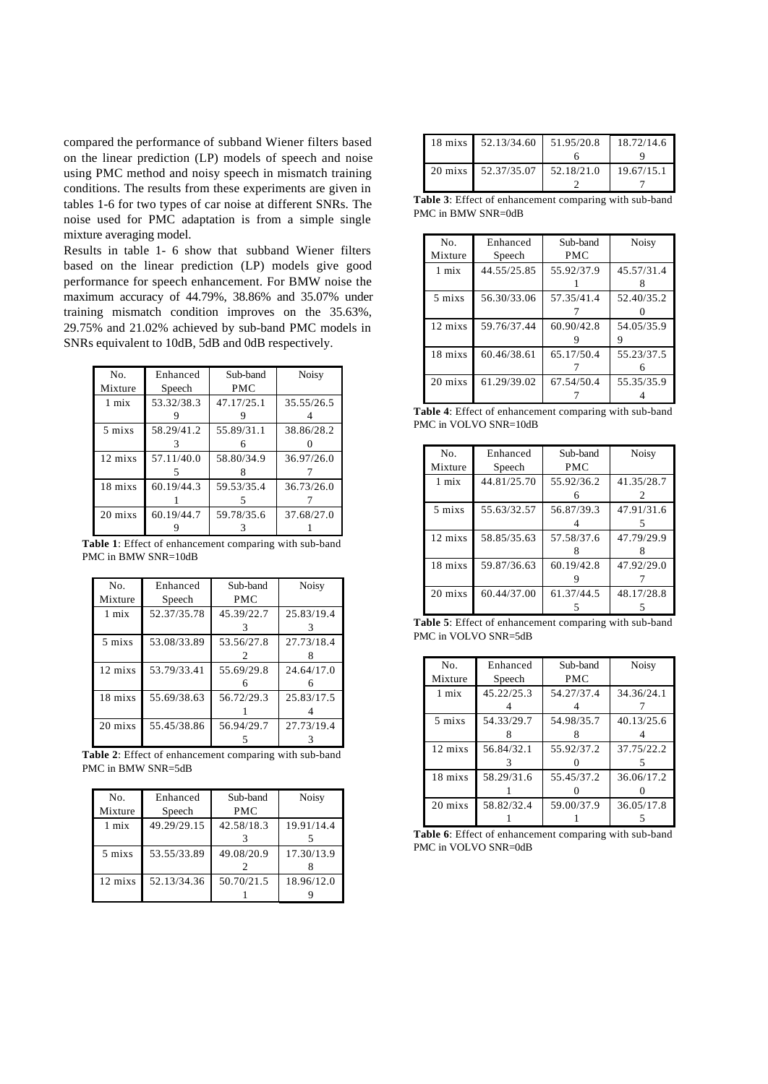compared the performance of subband Wiener filters based on the linear prediction (LP) models of speech and noise using PMC method and noisy speech in mismatch training conditions. The results from these experiments are given in tables 1-6 for two types of car noise at different SNRs. The noise used for PMC adaptation is from a simple single mixture averaging model.

Results in table 1- 6 show that subband Wiener filters based on the linear prediction (LP) models give good performance for speech enhancement. For BMW noise the maximum accuracy of 44.79%, 38.86% and 35.07% under training mismatch condition improves on the 35.63%, 29.75% and 21.02% achieved by sub-band PMC models in SNRs equivalent to 10dB, 5dB and 0dB respectively.

| N <sub>o</sub> | Enhanced   | Sub-band   | <b>Noisy</b> |
|----------------|------------|------------|--------------|
| Mixture        | Speech     | <b>PMC</b> |              |
| 1 mix          | 53.32/38.3 | 47.17/25.1 | 35.55/26.5   |
|                |            |            |              |
| 5 mixs         | 58.29/41.2 | 55.89/31.1 | 38.86/28.2   |
|                |            | 6          |              |
| 12 mixs        | 57.11/40.0 | 58.80/34.9 | 36.97/26.0   |
|                |            |            |              |
| 18 mixs        | 60.19/44.3 | 59.53/35.4 | 36.73/26.0   |
|                |            |            |              |
| 20 mixs        | 60.19/44.7 | 59.78/35.6 | 37.68/27.0   |
|                |            |            |              |

**Table 1**: Effect of enhancement comparing with sub-band PMC in BMW SNR=10dB

| No.<br>Mixture | Enhanced<br>Speech | Sub-band<br><b>PMC</b> | <b>Noisy</b> |
|----------------|--------------------|------------------------|--------------|
|                |                    |                        |              |
| 1 mix          | 52.37/35.78        | 45.39/22.7             | 25.83/19.4   |
|                |                    |                        |              |
| 5 mixs         | 53.08/33.89        | 53.56/27.8             | 27.73/18.4   |
|                |                    | 2                      |              |
| 12 mixs        | 53.79/33.41        | 55.69/29.8             | 24.64/17.0   |
|                |                    |                        |              |
| 18 mixs        | 55.69/38.63        | 56.72/29.3             | 25.83/17.5   |
|                |                    |                        |              |
| 20 mixs        | 55.45/38.86        | 56.94/29.7             | 27.73/19.4   |
|                |                    |                        |              |

**Table 2**: Effect of enhancement comparing with sub-band PMC in BMW SNR=5dB

| No.               | Enhanced    | Sub-band   | <b>Noisy</b> |
|-------------------|-------------|------------|--------------|
| Mixture           | Speech      | <b>PMC</b> |              |
| $1 \text{ mix}$   | 49.29/29.15 | 42.58/18.3 | 19.91/14.4   |
|                   |             |            |              |
| 5 mixs            | 53.55/33.89 | 49.08/20.9 | 17.30/13.9   |
|                   |             |            |              |
| $12 \text{ mixs}$ | 52.13/34.36 | 50.70/21.5 | 18.96/12.0   |
|                   |             |            |              |

| 18 mixs 52.13/34.60 51.95/20.8 | 18.72/14.6 |
|--------------------------------|------------|
|                                |            |
| 20 mixs 52.37/35.07 52.18/21.0 | 19.67/15.1 |
|                                |            |

**Table 3**: Effect of enhancement comparing with sub-band PMC in BMW SNR=0dB

| No.             | Enhanced    | Sub-band   | <b>Noisy</b> |
|-----------------|-------------|------------|--------------|
| Mixture         | Speech      | <b>PMC</b> |              |
| $1 \text{ mix}$ | 44.55/25.85 | 55.92/37.9 | 45.57/31.4   |
|                 |             |            |              |
| 5 mixs          | 56.30/33.06 | 57.35/41.4 | 52.40/35.2   |
|                 |             |            |              |
| 12 mixs         | 59.76/37.44 | 60.90/42.8 | 54.05/35.9   |
|                 |             |            |              |
| 18 mixs         | 60.46/38.61 | 65.17/50.4 | 55.23/37.5   |
|                 |             |            |              |
| 20 mixs         | 61.29/39.02 | 67.54/50.4 | 55.35/35.9   |
|                 |             |            |              |

**Table 4**: Effect of enhancement comparing with sub-band PMC in VOLVO SNR=10dB

| No.                | Enhanced    | Sub-band   | <b>Noisy</b> |
|--------------------|-------------|------------|--------------|
| Mixture            | Speech      | <b>PMC</b> |              |
| $1 \text{ mix}$    | 44.81/25.70 | 55.92/36.2 | 41.35/28.7   |
|                    |             |            | 2            |
| 5 mixs             | 55.63/32.57 | 56.87/39.3 | 47.91/31.6   |
|                    |             |            |              |
| 12 mixs            | 58.85/35.63 | 57.58/37.6 | 47.79/29.9   |
|                    |             |            |              |
| 18 mixs            | 59.87/36.63 | 60.19/42.8 | 47.92/29.0   |
|                    |             |            |              |
| $20 \text{ m}$ ixs | 60.44/37.00 | 61.37/44.5 | 48.17/28.8   |
|                    |             |            |              |

**Table 5**: Effect of enhancement comparing with sub-band PMC in VOLVO SNR=5dB

| No.     | Enhanced   | Sub-band   | <b>Noisy</b> |
|---------|------------|------------|--------------|
| Mixture | Speech     | PMC        |              |
| 1 mix   | 45.22/25.3 | 54.27/37.4 | 34.36/24.1   |
|         |            |            |              |
| 5 mixs  | 54.33/29.7 | 54.98/35.7 | 40.13/25.6   |
|         |            |            |              |
| 12 mixs | 56.84/32.1 | 55.92/37.2 | 37.75/22.2   |
|         |            |            |              |
| 18 mixs | 58.29/31.6 | 55.45/37.2 | 36.06/17.2   |
|         |            |            |              |
| 20 mixs | 58.82/32.4 | 59.00/37.9 | 36.05/17.8   |
|         |            |            |              |

**Table 6**: Effect of enhancement comparing with sub-band PMC in VOLVO SNR=0dB